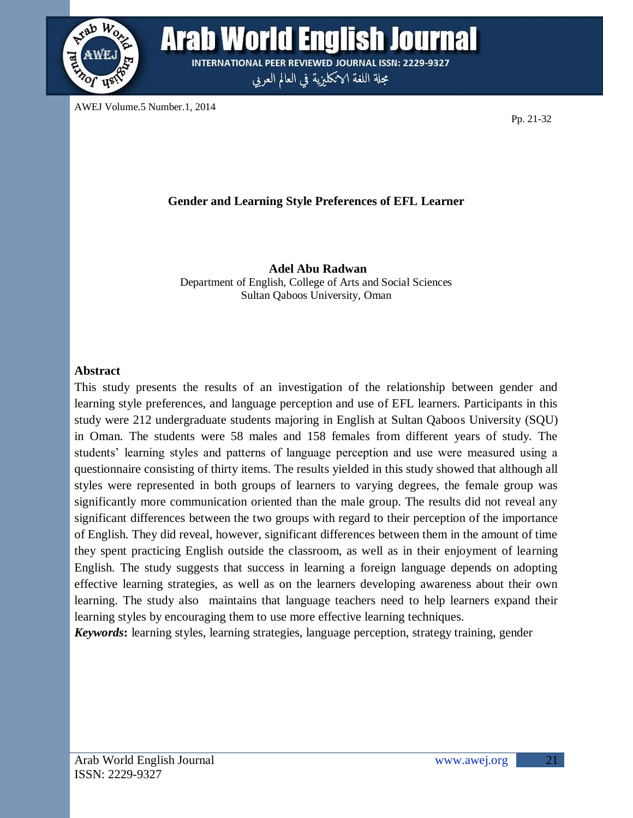

**Arab World English Journal INTERNATIONAL PEER REVIEWED JOURNAL ISSN: 2229-9327** 

مجلة اللغة الانكليزية في العالم العربي

AWEJ Volume.5 Number.1, 2014

Pp. 21-32

## **Gender and Learning Style Preferences of EFL Learner**

**Adel Abu Radwan** Department of English, College of Arts and Social Sciences Sultan Qaboos University, Oman

#### **Abstract**

This study presents the results of an investigation of the relationship between gender and learning style preferences, and language perception and use of EFL learners. Participants in this study were 212 undergraduate students majoring in English at Sultan Qaboos University (SQU) in Oman. The students were 58 males and 158 females from different years of study. The students' learning styles and patterns of language perception and use were measured using a questionnaire consisting of thirty items. The results yielded in this study showed that although all styles were represented in both groups of learners to varying degrees, the female group was significantly more communication oriented than the male group. The results did not reveal any significant differences between the two groups with regard to their perception of the importance of English. They did reveal, however, significant differences between them in the amount of time they spent practicing English outside the classroom, as well as in their enjoyment of learning English. The study suggests that success in learning a foreign language depends on adopting effective learning strategies, as well as on the learners developing awareness about their own learning. The study also maintains that language teachers need to help learners expand their learning styles by encouraging them to use more effective learning techniques.

*Keywords***:** learning styles, learning strategies, language perception, strategy training, gender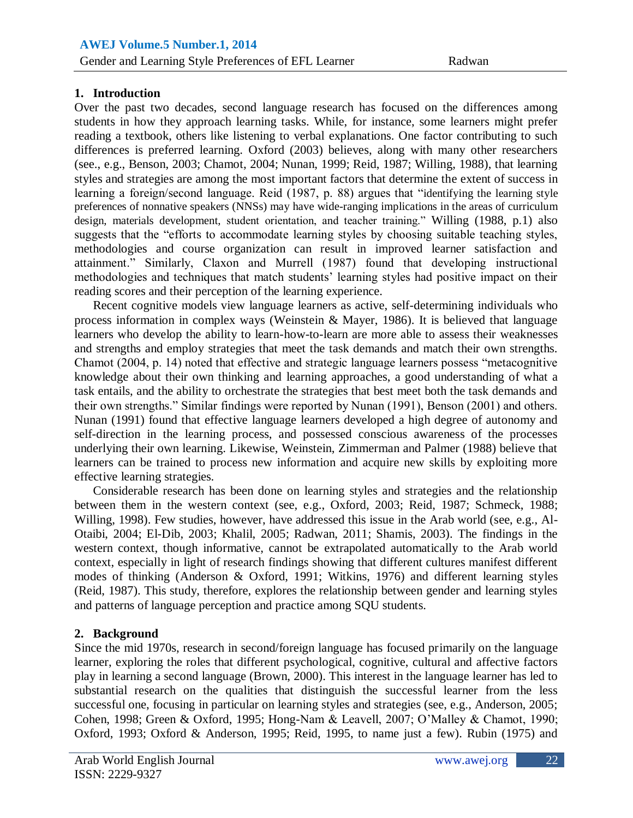# Al-Mahes **1. Introduction**

Over the past two decades, second language research has focused on the differences among students in how they approach learning tasks. While, for instance, some learners might prefer reading a textbook, others like listening to verbal explanations. One factor contributing to such differences is preferred learning. Oxford (2003) believes, along with many other researchers (see., e.g., Benson, 2003; Chamot, 2004; Nunan, 1999; Reid, 1987; Willing, 1988), that learning styles and strategies are among the most important factors that determine the extent of success in learning a foreign/second language. Reid (1987, p. 88) argues that "identifying the learning style preferences of nonnative speakers (NNSs) may have wide-ranging implications in the areas of curriculum design, materials development, student orientation, and teacher training." Willing (1988, p.1) also suggests that the "efforts to accommodate learning styles by choosing suitable teaching styles, methodologies and course organization can result in improved learner satisfaction and attainment." Similarly, Claxon and Murrell (1987) found that developing instructional methodologies and techniques that match students' learning styles had positive impact on their reading scores and their perception of the learning experience.

Recent cognitive models view language learners as active, self-determining individuals who process information in complex ways (Weinstein  $\&$  Mayer, 1986). It is believed that language learners who develop the ability to learn-how-to-learn are more able to assess their weaknesses and strengths and employ strategies that meet the task demands and match their own strengths. Chamot (2004, p. 14) noted that effective and strategic language learners possess "metacognitive knowledge about their own thinking and learning approaches, a good understanding of what a task entails, and the ability to orchestrate the strategies that best meet both the task demands and their own strengths." Similar findings were reported by Nunan (1991), Benson (2001) and others. Nunan (1991) found that effective language learners developed a high degree of autonomy and self-direction in the learning process, and possessed conscious awareness of the processes underlying their own learning. Likewise, Weinstein, Zimmerman and Palmer (1988) believe that learners can be trained to process new information and acquire new skills by exploiting more effective learning strategies.

Considerable research has been done on learning styles and strategies and the relationship between them in the western context (see, e.g., Oxford, 2003; Reid, 1987; Schmeck, 1988; Willing, 1998). Few studies, however, have addressed this issue in the Arab world (see, e.g., Al-Otaibi, 2004; El-Dib, 2003; Khalil, 2005; Radwan, 2011; Shamis, 2003). The findings in the western context, though informative, cannot be extrapolated automatically to the Arab world context, especially in light of research findings showing that different cultures manifest different modes of thinking (Anderson & Oxford, 1991; Witkins, 1976) and different learning styles (Reid, 1987). This study, therefore, explores the relationship between gender and learning styles and patterns of language perception and practice among SQU students.

### **2. Background**

Since the mid 1970s, research in second/foreign language has focused primarily on the language learner, exploring the roles that different psychological, cognitive, cultural and affective factors play in learning a second language (Brown, 2000). This interest in the language learner has led to substantial research on the qualities that distinguish the successful learner from the less successful one, focusing in particular on learning styles and strategies (see, e.g., Anderson, 2005; Cohen, 1998; Green & Oxford, 1995; Hong-Nam & Leavell, 2007; O"Malley & Chamot, 1990; Oxford, 1993; Oxford & Anderson, 1995; Reid, 1995, to name just a few). Rubin (1975) and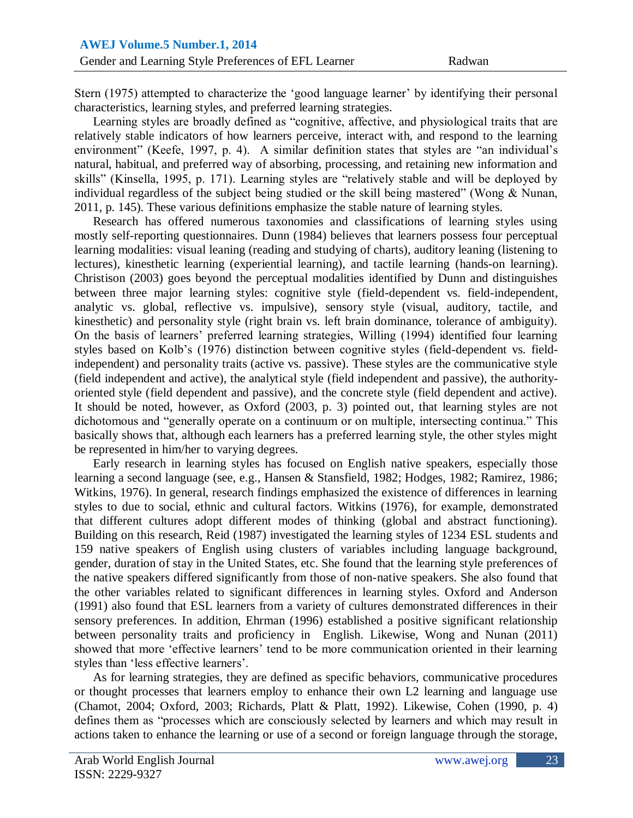Stern (1975) attempted to characterize the 'good language learner' by identifying their personal characteristics, learning styles, and preferred learning strategies.

Learning styles are broadly defined as "cognitive, affective, and physiological traits that are relatively stable indicators of how learners perceive, interact with, and respond to the learning environment" (Keefe, 1997, p. 4). A similar definition states that styles are "an individual's natural, habitual, and preferred way of absorbing, processing, and retaining new information and skills" (Kinsella, 1995, p. 171). Learning styles are "relatively stable and will be deployed by individual regardless of the subject being studied or the skill being mastered" (Wong & Nunan, 2011, p. 145). These various definitions emphasize the stable nature of learning styles.

Research has offered numerous taxonomies and classifications of learning styles using mostly self-reporting questionnaires. Dunn (1984) believes that learners possess four perceptual learning modalities: visual leaning (reading and studying of charts), auditory leaning (listening to lectures), kinesthetic learning (experiential learning), and tactile learning (hands-on learning). Christison (2003) goes beyond the perceptual modalities identified by Dunn and distinguishes between three major learning styles: cognitive style (field-dependent vs. field-independent, analytic vs. global, reflective vs. impulsive), sensory style (visual, auditory, tactile, and kinesthetic) and personality style (right brain vs. left brain dominance, tolerance of ambiguity). On the basis of learners" preferred learning strategies, Willing (1994) identified four learning styles based on Kolb"s (1976) distinction between cognitive styles (field-dependent vs. fieldindependent) and personality traits (active vs. passive). These styles are the communicative style (field independent and active), the analytical style (field independent and passive), the authorityoriented style (field dependent and passive), and the concrete style (field dependent and active). It should be noted, however, as Oxford (2003, p. 3) pointed out, that learning styles are not dichotomous and "generally operate on a continuum or on multiple, intersecting continua." This basically shows that, although each learners has a preferred learning style, the other styles might be represented in him/her to varying degrees.

Early research in learning styles has focused on English native speakers, especially those learning a second language (see, e.g., Hansen & Stansfield, 1982; Hodges, 1982; Ramirez, 1986; Witkins, 1976). In general, research findings emphasized the existence of differences in learning styles to due to social, ethnic and cultural factors. Witkins (1976), for example, demonstrated that different cultures adopt different modes of thinking (global and abstract functioning). Building on this research, Reid (1987) investigated the learning styles of 1234 ESL students and 159 native speakers of English using clusters of variables including language background, gender, duration of stay in the United States, etc. She found that the learning style preferences of the native speakers differed significantly from those of non-native speakers. She also found that the other variables related to significant differences in learning styles. Oxford and Anderson (1991) also found that ESL learners from a variety of cultures demonstrated differences in their sensory preferences. In addition, Ehrman (1996) established a positive significant relationship between personality traits and proficiency in English. Likewise, Wong and Nunan (2011) showed that more 'effective learners' tend to be more communication oriented in their learning styles than "less effective learners".

As for learning strategies, they are defined as specific behaviors, communicative procedures or thought processes that learners employ to enhance their own L2 learning and language use (Chamot, 2004; Oxford, 2003; Richards, Platt & Platt, 1992). Likewise, Cohen (1990, p. 4) defines them as "processes which are consciously selected by learners and which may result in actions taken to enhance the learning or use of a second or foreign language through the storage,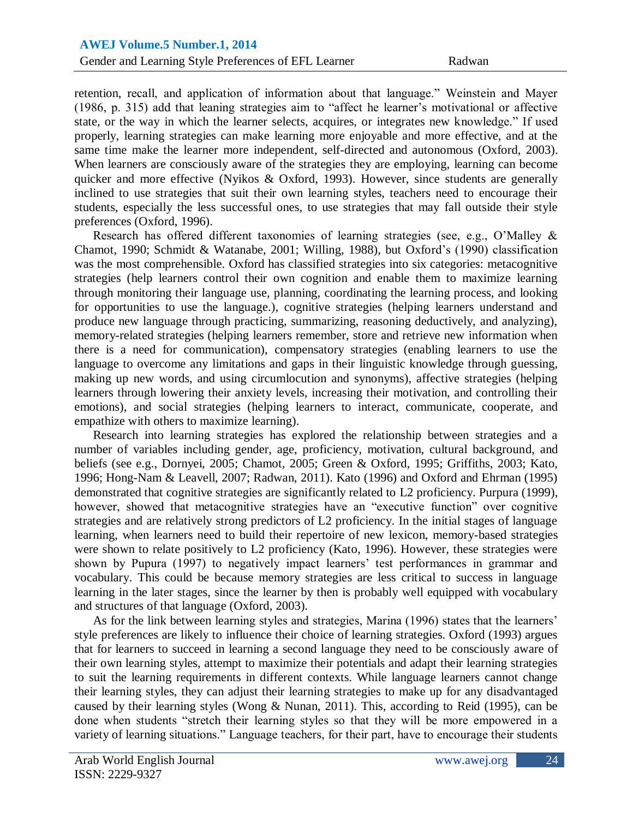retention, recall, and application of information about that language." Weinstein and Mayer (1986, p. 315) add that leaning strategies aim to "affect he learner"s motivational or affective state, or the way in which the learner selects, acquires, or integrates new knowledge." If used properly, learning strategies can make learning more enjoyable and more effective, and at the same time make the learner more independent, self-directed and autonomous (Oxford, 2003). When learners are consciously aware of the strategies they are employing, learning can become quicker and more effective (Nyikos & Oxford, 1993). However, since students are generally inclined to use strategies that suit their own learning styles, teachers need to encourage their students, especially the less successful ones, to use strategies that may fall outside their style preferences (Oxford, 1996).

Research has offered different taxonomies of learning strategies (see, e.g., O"Malley & Chamot, 1990; Schmidt & Watanabe, 2001; Willing, 1988), but Oxford"s (1990) classification was the most comprehensible. Oxford has classified strategies into six categories: metacognitive strategies (help learners control their own cognition and enable them to maximize learning through monitoring their language use, planning, coordinating the learning process, and looking for opportunities to use the language.), cognitive strategies (helping learners understand and produce new language through practicing, summarizing, reasoning deductively, and analyzing), memory-related strategies (helping learners remember, store and retrieve new information when there is a need for communication), compensatory strategies (enabling learners to use the language to overcome any limitations and gaps in their linguistic knowledge through guessing, making up new words, and using circumlocution and synonyms), affective strategies (helping learners through lowering their anxiety levels, increasing their motivation, and controlling their emotions), and social strategies (helping learners to interact, communicate, cooperate, and empathize with others to maximize learning).

Research into learning strategies has explored the relationship between strategies and a number of variables including gender, age, proficiency, motivation, cultural background, and beliefs (see e.g., Dornyei, 2005; Chamot, 2005; Green & Oxford, 1995; Griffiths, 2003; Kato, 1996; Hong-Nam & Leavell, 2007; Radwan, 2011). Kato (1996) and Oxford and Ehrman (1995) demonstrated that cognitive strategies are significantly related to L2 proficiency. Purpura (1999), however, showed that metacognitive strategies have an "executive function" over cognitive strategies and are relatively strong predictors of L2 proficiency. In the initial stages of language learning, when learners need to build their repertoire of new lexicon, memory-based strategies were shown to relate positively to L2 proficiency (Kato, 1996). However, these strategies were shown by Pupura (1997) to negatively impact learners' test performances in grammar and vocabulary. This could be because memory strategies are less critical to success in language learning in the later stages, since the learner by then is probably well equipped with vocabulary and structures of that language (Oxford, 2003).

As for the link between learning styles and strategies, Marina (1996) states that the learners' style preferences are likely to influence their choice of learning strategies. Oxford (1993) argues that for learners to succeed in learning a second language they need to be consciously aware of their own learning styles, attempt to maximize their potentials and adapt their learning strategies to suit the learning requirements in different contexts. While language learners cannot change their learning styles, they can adjust their learning strategies to make up for any disadvantaged caused by their learning styles (Wong & Nunan, 2011). This, according to Reid (1995), can be done when students "stretch their learning styles so that they will be more empowered in a variety of learning situations." Language teachers, for their part, have to encourage their students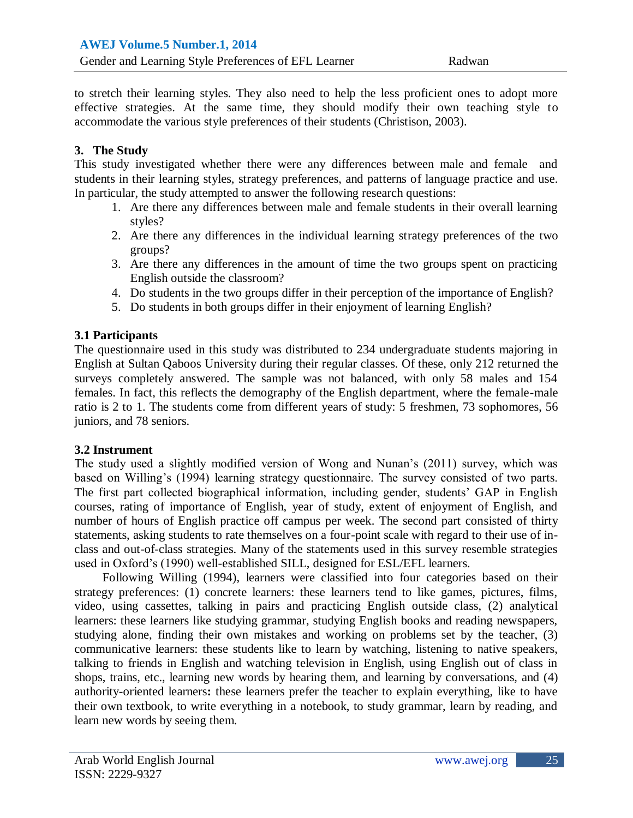to stretch their learning styles. They also need to help the less proficient ones to adopt more effective strategies. At the same time, they should modify their own teaching style to accommodate the various style preferences of their students (Christison, 2003).

### **3. The Study**

This study investigated whether there were any differences between male and female and students in their learning styles, strategy preferences, and patterns of language practice and use. In particular, the study attempted to answer the following research questions:

- 1. Are there any differences between male and female students in their overall learning styles?
- 2. Are there any differences in the individual learning strategy preferences of the two groups?
- 3. Are there any differences in the amount of time the two groups spent on practicing English outside the classroom?
- 4. Do students in the two groups differ in their perception of the importance of English?
- 5. Do students in both groups differ in their enjoyment of learning English?

## **3.1 Participants**

The questionnaire used in this study was distributed to 234 undergraduate students majoring in English at Sultan Qaboos University during their regular classes. Of these, only 212 returned the surveys completely answered. The sample was not balanced, with only 58 males and 154 females. In fact, this reflects the demography of the English department, where the female-male ratio is 2 to 1. The students come from different years of study: 5 freshmen, 73 sophomores, 56 juniors, and 78 seniors.

### **3.2 Instrument**

The study used a slightly modified version of Wong and Nunan"s (2011) survey, which was based on Willing's (1994) learning strategy questionnaire. The survey consisted of two parts. The first part collected biographical information, including gender, students' GAP in English courses, rating of importance of English, year of study, extent of enjoyment of English, and number of hours of English practice off campus per week. The second part consisted of thirty statements, asking students to rate themselves on a four-point scale with regard to their use of inclass and out-of-class strategies. Many of the statements used in this survey resemble strategies used in Oxford"s (1990) well-established SILL, designed for ESL/EFL learners.

Following Willing (1994), learners were classified into four categories based on their strategy preferences: (1) concrete learners: these learners tend to like games, pictures, films, video, using cassettes, talking in pairs and practicing English outside class, (2) analytical learners: these learners like studying grammar, studying English books and reading newspapers, studying alone, finding their own mistakes and working on problems set by the teacher, (3) communicative learners: these students like to learn by watching, listening to native speakers, talking to friends in English and watching television in English, using English out of class in shops, trains, etc., learning new words by hearing them, and learning by conversations, and (4) authority-oriented learners**:** these learners prefer the teacher to explain everything, like to have their own textbook, to write everything in a notebook, to study grammar, learn by reading, and learn new words by seeing them.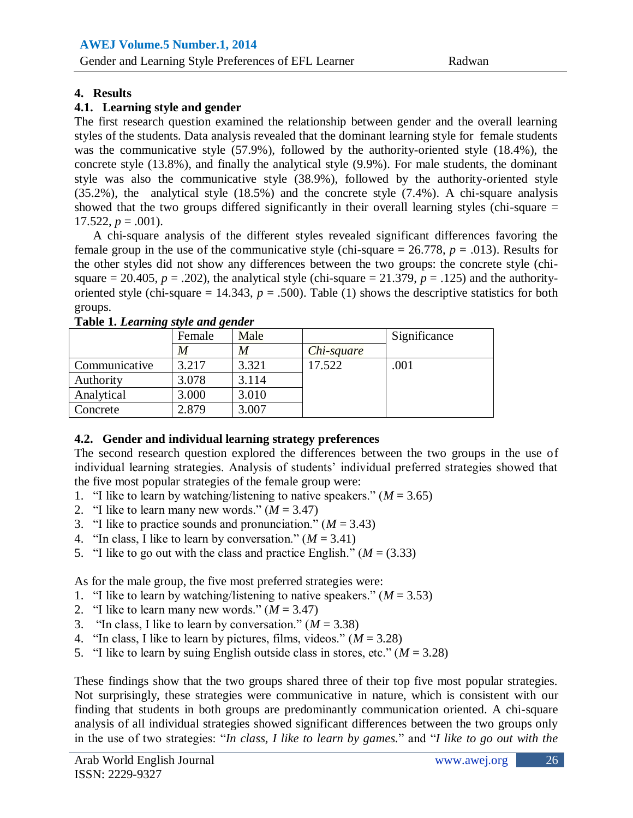# Al-Mahes **4. Results**

### **4.1. Learning style and gender**

The first research question examined the relationship between gender and the overall learning styles of the students. Data analysis revealed that the dominant learning style for female students was the communicative style (57.9%), followed by the authority-oriented style (18.4%), the concrete style (13.8%), and finally the analytical style (9.9%). For male students, the dominant style was also the communicative style (38.9%), followed by the authority-oriented style (35.2%), the analytical style (18.5%) and the concrete style (7.4%). A chi-square analysis showed that the two groups differed significantly in their overall learning styles (chi-square =  $17.522, p = .001$ ).

A chi-square analysis of the different styles revealed significant differences favoring the female group in the use of the communicative style (chi-square  $= 26.778$ ,  $p = .013$ ). Results for the other styles did not show any differences between the two groups: the concrete style (chisquare = 20.405,  $p = .202$ ), the analytical style (chi-square = 21.379,  $p = .125$ ) and the authorityoriented style (chi-square  $= 14.343$ ,  $p = .500$ ). Table (1) shows the descriptive statistics for both groups.

|               | Female | Male  |            | Significance |
|---------------|--------|-------|------------|--------------|
|               | M      | M     | Chi-square |              |
| Communicative | 3.217  | 3.321 | 17.522     | .001         |
| Authority     | 3.078  | 3.114 |            |              |
| Analytical    | 3.000  | 3.010 |            |              |
| Concrete      | 2.879  | 3.007 |            |              |

#### **Table 1.** *Learning style and gender*

### **4.2. Gender and individual learning strategy preferences**

The second research question explored the differences between the two groups in the use of individual learning strategies. Analysis of students" individual preferred strategies showed that the five most popular strategies of the female group were:

- 1. "I like to learn by watching/listening to native speakers."  $(M = 3.65)$
- 2. "I like to learn many new words."  $(M = 3.47)$
- 3. "I like to practice sounds and pronunciation."  $(M = 3.43)$
- 4. "In class, I like to learn by conversation."  $(M = 3.41)$
- 5. "I like to go out with the class and practice English."  $(M = (3.33))$

As for the male group, the five most preferred strategies were:

- 1. "I like to learn by watching/listening to native speakers."  $(M = 3.53)$
- 2. "I like to learn many new words."  $(M = 3.47)$
- 3. "In class, I like to learn by conversation."  $(M = 3.38)$
- 4. "In class, I like to learn by pictures, films, videos."  $(M = 3.28)$
- 5. "I like to learn by suing English outside class in stores, etc."  $(M = 3.28)$

These findings show that the two groups shared three of their top five most popular strategies. Not surprisingly, these strategies were communicative in nature, which is consistent with our finding that students in both groups are predominantly communication oriented. A chi-square analysis of all individual strategies showed significant differences between the two groups only in the use of two strategies: "*In class, I like to learn by games.*" and "*I like to go out with the*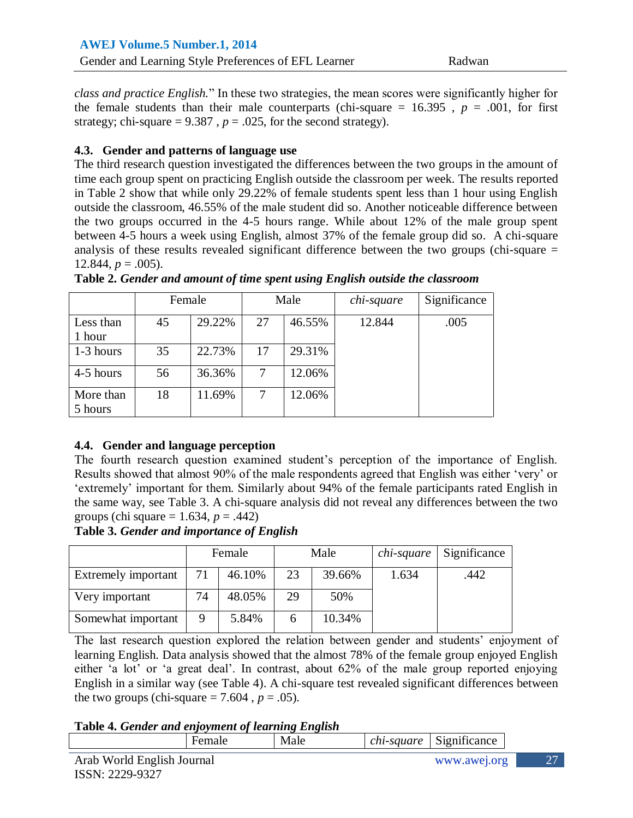*class and practice English*." In these two strategies, the mean scores were significantly higher for the female students than their male counterparts (chi-square  $= 16.395$ ,  $p = .001$ , for first strategy; chi-square =  $9.387$ ,  $p = .025$ , for the second strategy).

### **4.3. Gender and patterns of language use**

The third research question investigated the differences between the two groups in the amount of time each group spent on practicing English outside the classroom per week. The results reported in Table 2 show that while only 29.22% of female students spent less than 1 hour using English outside the classroom, 46.55% of the male student did so. Another noticeable difference between the two groups occurred in the 4-5 hours range. While about 12% of the male group spent between 4-5 hours a week using English, almost 37% of the female group did so. A chi-square analysis of these results revealed significant difference between the two groups (chi-square = 12.844,  $p = .005$ ).

|                      | Female |        |    | Male   | chi-square | Significance |
|----------------------|--------|--------|----|--------|------------|--------------|
| Less than<br>1 hour  | 45     | 29.22% | 27 | 46.55% | 12.844     | .005         |
| 1-3 hours            | 35     | 22.73% | 17 | 29.31% |            |              |
| 4-5 hours            | 56     | 36.36% | 7  | 12.06% |            |              |
| More than<br>5 hours | 18     | 11.69% | 7  | 12.06% |            |              |
|                      |        |        |    |        |            |              |

**Table 2.** *Gender and amount of time spent using English outside the classroom*

## **4.4. Gender and language perception**

The fourth research question examined student's perception of the importance of English. Results showed that almost 90% of the male respondents agreed that English was either "very" or "extremely" important for them. Similarly about 94% of the female participants rated English in the same way, see Table 3. A chi-square analysis did not reveal any differences between the two groups (chi square = 1.634, *p* = .442)

#### **Table 3.** *Gender and importance of English*

|                     | Female |        |              | Male   | chi-square | Significance |
|---------------------|--------|--------|--------------|--------|------------|--------------|
| Extremely important | 71     | 46.10% | 23           | 39.66% | 1.634      | .442         |
| Very important      | 74     | 48.05% | 29           | 50%    |            |              |
| Somewhat important  | 9      | 5.84%  | <sub>6</sub> | 10.34% |            |              |

The last research question explored the relation between gender and students' enjoyment of learning English. Data analysis showed that the almost 78% of the female group enjoyed English either 'a lot' or 'a great deal'. In contrast, about 62% of the male group reported enjoying English in a similar way (see Table 4). A chi-square test revealed significant differences between the two groups (chi-square  $= 7.604$ ,  $p = .05$ ).

Female Male *chi-square* Significance

### **Table 4.** *Gender and enjoyment of learning English*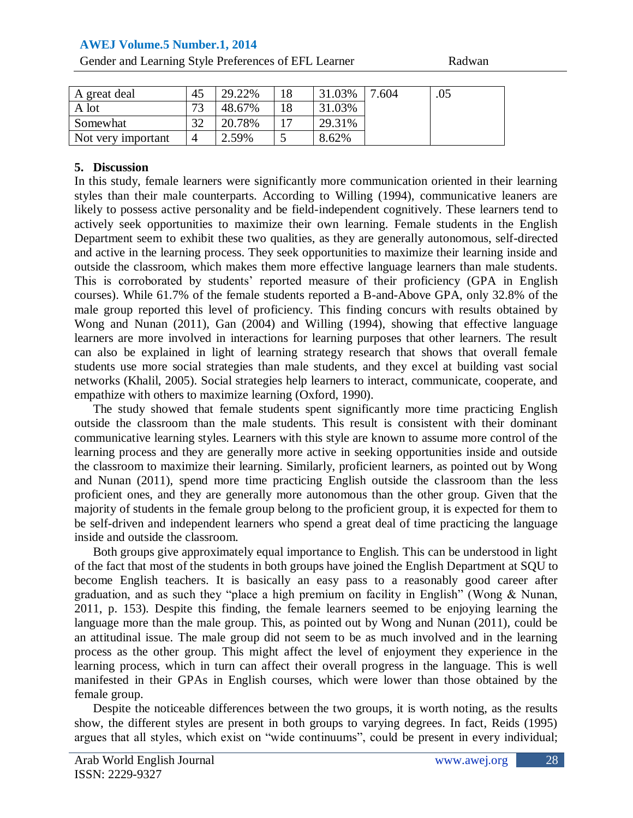## **AWEJ Volume.5 Number.1, 2014**

Gender and Learning Style Preferences of EFL Learner Radwan

| A great deal       | 45 | 29.22% | 31.03% | '.604 | .05 |
|--------------------|----|--------|--------|-------|-----|
| A lot              | רי | 48.67% | 31.03% |       |     |
| Somewhat           | 20 | 20.78% | 29.31% |       |     |
| Not very important |    | 2.59%  | 8.62%  |       |     |

#### **5. Discussion**

In this study, female learners were significantly more communication oriented in their learning styles than their male counterparts. According to Willing (1994), communicative leaners are likely to possess active personality and be field-independent cognitively. These learners tend to actively seek opportunities to maximize their own learning. Female students in the English Department seem to exhibit these two qualities, as they are generally autonomous, self-directed and active in the learning process. They seek opportunities to maximize their learning inside and outside the classroom, which makes them more effective language learners than male students. This is corroborated by students' reported measure of their proficiency (GPA in English courses). While 61.7% of the female students reported a B-and-Above GPA, only 32.8% of the male group reported this level of proficiency. This finding concurs with results obtained by Wong and Nunan (2011), Gan (2004) and Willing (1994), showing that effective language learners are more involved in interactions for learning purposes that other learners. The result can also be explained in light of learning strategy research that shows that overall female students use more social strategies than male students, and they excel at building vast social networks (Khalil, 2005). Social strategies help learners to interact, communicate, cooperate, and empathize with others to maximize learning (Oxford, 1990).

The study showed that female students spent significantly more time practicing English outside the classroom than the male students. This result is consistent with their dominant communicative learning styles. Learners with this style are known to assume more control of the learning process and they are generally more active in seeking opportunities inside and outside the classroom to maximize their learning. Similarly, proficient learners, as pointed out by Wong and Nunan (2011), spend more time practicing English outside the classroom than the less proficient ones, and they are generally more autonomous than the other group. Given that the majority of students in the female group belong to the proficient group, it is expected for them to be self-driven and independent learners who spend a great deal of time practicing the language inside and outside the classroom.

Both groups give approximately equal importance to English. This can be understood in light of the fact that most of the students in both groups have joined the English Department at SQU to become English teachers. It is basically an easy pass to a reasonably good career after graduation, and as such they "place a high premium on facility in English" (Wong & Nunan, 2011, p. 153). Despite this finding, the female learners seemed to be enjoying learning the language more than the male group. This, as pointed out by Wong and Nunan (2011), could be an attitudinal issue. The male group did not seem to be as much involved and in the learning process as the other group. This might affect the level of enjoyment they experience in the learning process, which in turn can affect their overall progress in the language. This is well manifested in their GPAs in English courses, which were lower than those obtained by the female group.

Despite the noticeable differences between the two groups, it is worth noting, as the results show, the different styles are present in both groups to varying degrees. In fact, Reids (1995) argues that all styles, which exist on "wide continuums", could be present in every individual;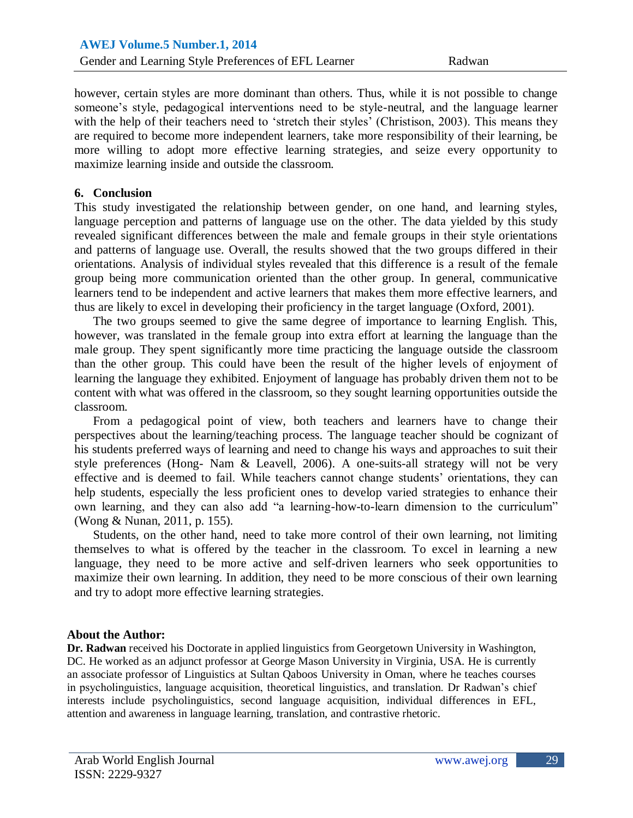however, certain styles are more dominant than others. Thus, while it is not possible to change someone's style, pedagogical interventions need to be style-neutral, and the language learner with the help of their teachers need to 'stretch their styles' (Christison, 2003). This means they are required to become more independent learners, take more responsibility of their learning, be more willing to adopt more effective learning strategies, and seize every opportunity to maximize learning inside and outside the classroom.

#### **6. Conclusion**

This study investigated the relationship between gender, on one hand, and learning styles, language perception and patterns of language use on the other. The data yielded by this study revealed significant differences between the male and female groups in their style orientations and patterns of language use. Overall, the results showed that the two groups differed in their orientations. Analysis of individual styles revealed that this difference is a result of the female group being more communication oriented than the other group. In general, communicative learners tend to be independent and active learners that makes them more effective learners, and thus are likely to excel in developing their proficiency in the target language (Oxford, 2001).

The two groups seemed to give the same degree of importance to learning English. This, however, was translated in the female group into extra effort at learning the language than the male group. They spent significantly more time practicing the language outside the classroom than the other group. This could have been the result of the higher levels of enjoyment of learning the language they exhibited. Enjoyment of language has probably driven them not to be content with what was offered in the classroom, so they sought learning opportunities outside the classroom.

From a pedagogical point of view, both teachers and learners have to change their perspectives about the learning/teaching process. The language teacher should be cognizant of his students preferred ways of learning and need to change his ways and approaches to suit their style preferences (Hong- Nam & Leavell, 2006). A one-suits-all strategy will not be very effective and is deemed to fail. While teachers cannot change students" orientations, they can help students, especially the less proficient ones to develop varied strategies to enhance their own learning, and they can also add "a learning-how-to-learn dimension to the curriculum" (Wong & Nunan, 2011, p. 155).

Students, on the other hand, need to take more control of their own learning, not limiting themselves to what is offered by the teacher in the classroom. To excel in learning a new language, they need to be more active and self-driven learners who seek opportunities to maximize their own learning. In addition, they need to be more conscious of their own learning and try to adopt more effective learning strategies.

#### **About the Author:**

**Dr. Radwan** received his Doctorate in applied linguistics from Georgetown University in Washington, DC. He worked as an adjunct professor at George Mason University in Virginia, USA. He is currently an associate professor of Linguistics at Sultan Qaboos University in Oman, where he teaches courses in psycholinguistics, language acquisition, theoretical linguistics, and translation. Dr Radwan"s chief interests include psycholinguistics, second language acquisition, individual differences in EFL, attention and awareness in language learning, translation, and contrastive rhetoric.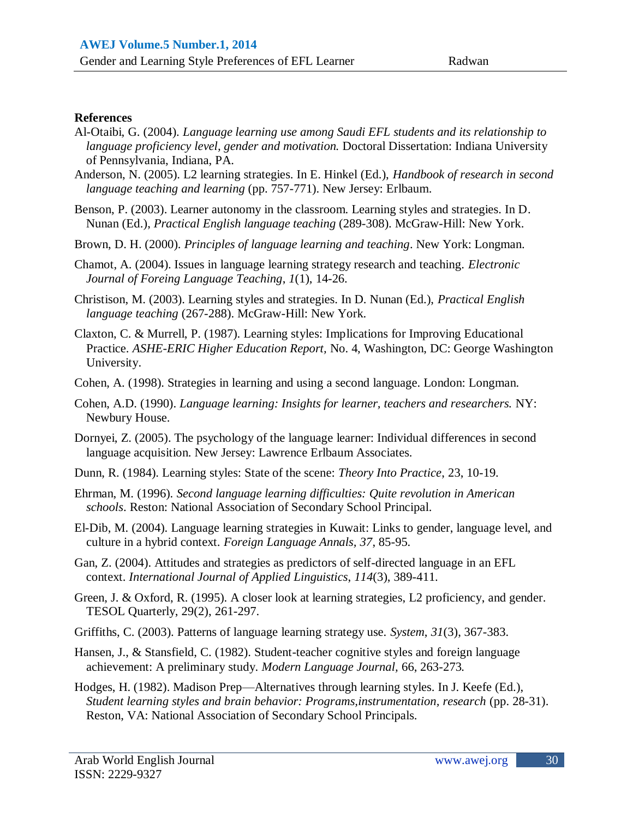#### **References**

- Al-Otaibi, G. (2004). *Language learning use among Saudi EFL students and its relationship to language proficiency level, gender and motivation.* Doctoral Dissertation: Indiana University of Pennsylvania, Indiana, PA.
- Anderson, N. (2005). L2 learning strategies. In E. Hinkel (Ed.), *Handbook of research in second language teaching and learning* (pp. 757-771). New Jersey: Erlbaum.
- Benson, P. (2003). Learner autonomy in the classroom. Learning styles and strategies. In D. Nunan (Ed.), *Practical English language teaching* (289-308). McGraw-Hill: New York.
- Brown, D. H. (2000). *Principles of language learning and teaching*. New York: Longman.
- Chamot, A. (2004). Issues in language learning strategy research and teaching. *Electronic Journal of Foreing Language Teaching*, *1*(1), 14-26.
- Christison, M. (2003). Learning styles and strategies. In D. Nunan (Ed.), *Practical English language teaching* (267-288). McGraw-Hill: New York.
- Claxton, C. & Murrell, P. (1987). Learning styles: Implications for Improving Educational Practice. *ASHE-ERIC Higher Education Report,* No. 4, Washington, DC: George Washington University.
- Cohen, A. (1998). Strategies in learning and using a second language. London: Longman.
- Cohen, A.D. (1990). *Language learning: Insights for learner, teachers and researchers.* NY: Newbury House.
- Dornyei, Z. (2005). The psychology of the language learner: Individual differences in second language acquisition. New Jersey: Lawrence Erlbaum Associates.
- Dunn, R. (1984). Learning styles: State of the scene: *Theory Into Practice*, 23, 10-19.
- Ehrman, M. (1996). *Second language learning difficulties: Quite revolution in American schools*. Reston: National Association of Secondary School Principal.
- El-Dib, M. (2004). Language learning strategies in Kuwait: Links to gender, language level, and culture in a hybrid context. *Foreign Language Annals, 37*, 85-95.
- Gan, Z. (2004). Attitudes and strategies as predictors of self-directed language in an EFL context. *International Journal of Applied Linguistics*, *114*(3), 389-411.
- Green, J. & Oxford, R. (1995). A closer look at learning strategies, L2 proficiency, and gender. TESOL Quarterly, 29(2), 261-297.
- Griffiths, C. (2003). Patterns of language learning strategy use. *System*, *31*(3), 367-383.
- Hansen, J., & Stansfield, C. (1982). Student-teacher cognitive styles and foreign language achievement: A preliminary study. *Modern Language Journal,* 66, 263-273*.*
- Hodges, H. (1982). Madison Prep—Alternatives through learning styles. In J. Keefe (Ed.), *Student learning styles and brain behavior: Programs,instrumentation, research* (pp. 28-31). Reston, VA: National Association of Secondary School Principals.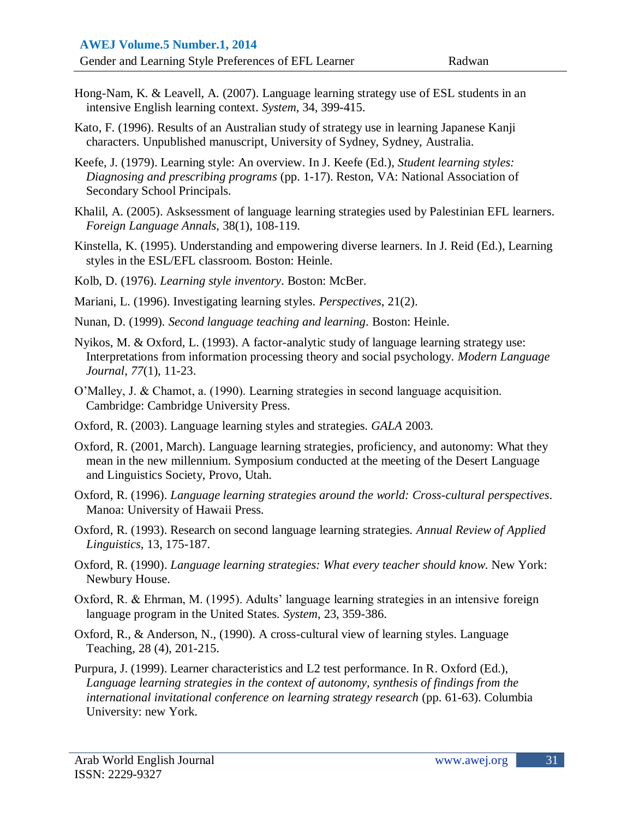- Hong-Nam, K. & Leavell, A. (2007). Language learning strategy use of ESL students in an intensive English learning context. *System*, 34, 399-415.
- Kato, F. (1996). Results of an Australian study of strategy use in learning Japanese Kanji characters. Unpublished manuscript, University of Sydney, Sydney, Australia.
- Keefe, J. (1979). Learning style: An overview. In J. Keefe (Ed.), *Student learning styles: Diagnosing and prescribing programs* (pp. 1-17). Reston, VA: National Association of Secondary School Principals.
- Khalil, A. (2005). Asksessment of language learning strategies used by Palestinian EFL learners. *Foreign Language Annals*, 38(1), 108-119.
- Kinstella, K. (1995). Understanding and empowering diverse learners. In J. Reid (Ed.), Learning styles in the ESL/EFL classroom. Boston: Heinle.
- Kolb, D. (1976). *Learning style inventory*. Boston: McBer.
- Mariani, L. (1996). Investigating learning styles. *Perspectives*, 21(2).
- Nunan, D. (1999). *Second language teaching and learning*. Boston: Heinle.
- Nyikos, M. & Oxford, L. (1993). A factor-analytic study of language learning strategy use: Interpretations from information processing theory and social psychology. *Modern Language Journal*, *77*(1), 11-23.
- O"Malley, J. & Chamot, a. (1990). Learning strategies in second language acquisition. Cambridge: Cambridge University Press.
- Oxford, R. (2003). Language learning styles and strategies. *GALA* 2003.
- Oxford, R. (2001, March). Language learning strategies, proficiency, and autonomy: What they mean in the new millennium. Symposium conducted at the meeting of the Desert Language and Linguistics Society, Provo, Utah.
- Oxford, R. (1996). *Language learning strategies around the world: Cross-cultural perspectives*. Manoa: University of Hawaii Press.
- Oxford, R. (1993). Research on second language learning strategies. *Annual Review of Applied Linguistics*, 13, 175-187.
- [Oxford, R. \(1990\).](http://e-flt.nus.edu.sg/v1n12004/chamot.htm#Oxford (1990)#Oxford (1990)) *Language learning strategies: What every teacher should know*. New York: Newbury House.
- Oxford, R. & Ehrman, M. (1995). Adults' language learning strategies in an intensive foreign language program in the United States. *System*, 23, 359-386.
- Oxford, R., & Anderson, N., (1990). A cross-cultural view of learning styles. Language Teaching, 28 (4), 201-215.
- Purpura, J. (1999). Learner characteristics and L2 test performance. In R. Oxford (Ed.), *Language learning strategies in the context of autonomy, synthesis of findings from the international invitational conference on learning strategy research* (pp. 61-63). Columbia University: new York.